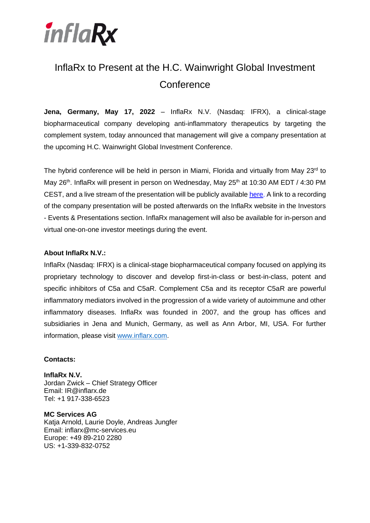

## InflaRx to Present at the H.C. Wainwright Global Investment **Conference**

**Jena, Germany, May 17, 2022** – InflaRx N.V. (Nasdaq: IFRX), a clinical-stage biopharmaceutical company developing anti-inflammatory therapeutics by targeting the complement system, today announced that management will give a company presentation at the upcoming H.C. Wainwright Global Investment Conference.

The hybrid conference will be held in person in Miami, Florida and virtually from May  $23<sup>rd</sup>$  to May 26<sup>th</sup>. InflaRx will present in person on Wednesday, May 25<sup>th</sup> at 10:30 AM EDT / 4:30 PM CEST, and a live stream of the presentation will be publicly available [here.](https://journey.ct.events/view/6bea3d7a-e133-49a9-b514-1ec5f5138275) A link to a recording of the company presentation will be posted afterwards on the InflaRx website in the Investors - Events & Presentations section. InflaRx management will also be available for in-person and virtual one-on-one investor meetings during the event.

## **About InflaRx N.V.:**

InflaRx (Nasdaq: IFRX) is a clinical-stage biopharmaceutical company focused on applying its proprietary technology to discover and develop first-in-class or best-in-class, potent and specific inhibitors of C5a and C5aR. Complement C5a and its receptor C5aR are powerful inflammatory mediators involved in the progression of a wide variety of autoimmune and other inflammatory diseases. InflaRx was founded in 2007, and the group has offices and subsidiaries in Jena and Munich, Germany, as well as Ann Arbor, MI, USA. For further information, please visit [www.inflarx.com.](http://www.inflarx.com/)

## **Contacts:**

**InflaRx N.V.** Jordan Zwick – Chief Strategy Officer Email: IR@inflarx.de Tel: +1 917-338-6523

**MC Services AG** Katja Arnold, Laurie Doyle, Andreas Jungfer Email: inflarx@mc-services.eu Europe: +49 89-210 2280 US: +1-339-832-0752